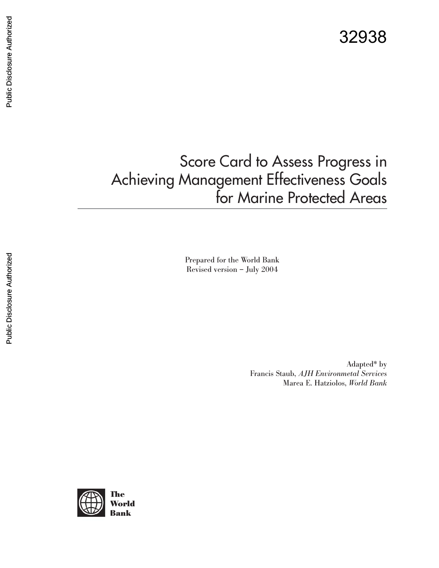# Score Card to Assess Progress in Achieving Management Effectiveness Goals for Marine Protected Areas

Prepared for the World Bank Revised version – July 2004

> Adapted\* by Francis Staub, *AJH Environmetal Services* Marea E. Hatziolos, *World Bank*

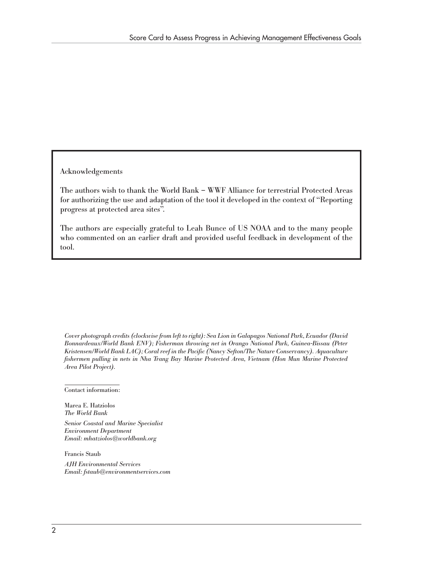Acknowledgements

The authors wish to thank the World Bank – WWF Alliance for terrestrial Protected Areas for authorizing the use and adaptation of the tool it developed in the context of "Reporting progress at protected area sites".

The authors are especially grateful to Leah Bunce of US NOAA and to the many people who commented on an earlier draft and provided useful feedback in development of the tool.

*Cover photograph credits (clockwise from left to right): Sea Lion in Galapagos National Park, Ecuador (David Bonnardeaux/World Bank ENV); Fisherman throwing net in Orango National Park, Guinea-Bissau (Peter Kristensen/World Bank LAC); Coral reef in the Pacific (Nancy Sefton/The Nature Conservancy). Aquaculture fishermen pulling in nets in Nha Trang Bay Marine Protected Area, Vietnam (Hon Mun Marine Protected Area Pilot Project).*

Contact information:

Marea E. Hatziolos *The World Bank*

*Senior Coastal and Marine Specialist Environment Department Email: mhatziolos@worldbank.org*

Francis Staub

*AJH Environmental Services Email: fstaub@environmentservices.com*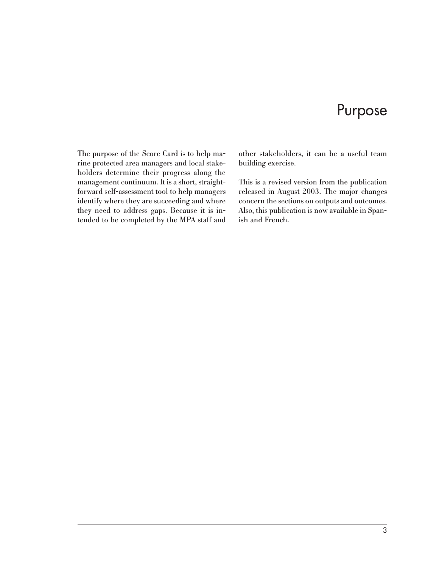### Purpose

The purpose of the Score Card is to help marine protected area managers and local stakeholders determine their progress along the management continuum. It is a short, straightforward self-assessment tool to help managers identify where they are succeeding and where they need to address gaps. Because it is intended to be completed by the MPA staff and other stakeholders, it can be a useful team building exercise.

This is a revised version from the publication released in August 2003. The major changes concern the sections on outputs and outcomes. Also, this publication is now available in Spanish and French.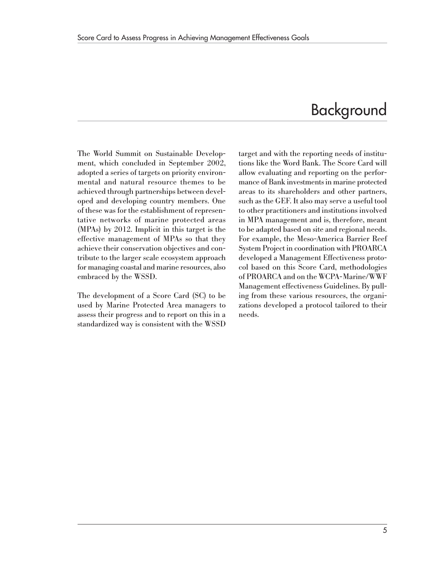## Background

The World Summit on Sustainable Development, which concluded in September 2002, adopted a series of targets on priority environmental and natural resource themes to be achieved through partnerships between developed and developing country members. One of these was for the establishment of representative networks of marine protected areas (MPAs) by 2012. Implicit in this target is the effective management of MPAs so that they achieve their conservation objectives and contribute to the larger scale ecosystem approach for managing coastal and marine resources, also embraced by the WSSD.

The development of a Score Card (SC) to be used by Marine Protected Area managers to assess their progress and to report on this in a standardized way is consistent with the WSSD target and with the reporting needs of institutions like the Word Bank. The Score Card will allow evaluating and reporting on the performance of Bank investments in marine protected areas to its shareholders and other partners, such as the GEF. It also may serve a useful tool to other practitioners and institutions involved in MPA management and is, therefore, meant to be adapted based on site and regional needs. For example, the Meso-America Barrier Reef System Project in coordination with PROARCA developed a Management Effectiveness protocol based on this Score Card, methodologies of PROARCA and on the WCPA-Marine/WWF Management effectiveness Guidelines. By pulling from these various resources, the organizations developed a protocol tailored to their needs.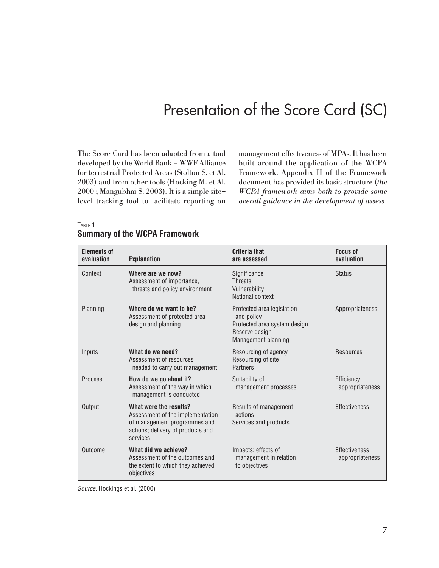## Presentation of the Score Card (SC)

The Score Card has been adapted from a tool developed by the World Bank – WWF Alliance for terrestrial Protected Areas (Stolton S. et Al. 2003) and from other tools (Hocking M. et Al. 2000 ; Mangubhai S. 2003). It is a simple site– level tracking tool to facilitate reporting on management effectiveness of MPAs. It has been built around the application of the WCPA Framework. Appendix II of the Framework document has provided its basic structure (*the WCPA framework aims both to provide some overall guidance in the development of assess-*

| <b>Elements of</b><br>evaluation | <b>Explanation</b>                                                                                                                          | Criteria that<br>are assessed                                                                                     | <b>Focus of</b><br>evaluation    |
|----------------------------------|---------------------------------------------------------------------------------------------------------------------------------------------|-------------------------------------------------------------------------------------------------------------------|----------------------------------|
| Context                          | Where are we now?<br>Assessment of importance,<br>threats and policy environment                                                            | Significance<br><b>Threats</b><br>Vulnerability<br>National context                                               | <b>Status</b>                    |
| Planning                         | Where do we want to be?<br>Assessment of protected area<br>design and planning                                                              | Protected area legislation<br>and policy<br>Protected area system design<br>Reserve design<br>Management planning | Appropriateness                  |
| Inputs                           | What do we need?<br>Assessment of resources<br>needed to carry out management                                                               | Resourcing of agency<br>Resourcing of site<br>Partners                                                            | Resources                        |
| <b>Process</b>                   | How do we go about it?<br>Assessment of the way in which<br>management is conducted                                                         | Suitability of<br>management processes                                                                            | Efficiency<br>appropriateness    |
| Output                           | What were the results?<br>Assessment of the implementation<br>of management programmes and<br>actions; delivery of products and<br>services | Results of management<br>actions<br>Services and products                                                         | Effectiveness                    |
| Outcome                          | What did we achieve?<br>Assessment of the outcomes and<br>the extent to which they achieved<br>objectives                                   | Impacts: effects of<br>management in relation<br>to objectives                                                    | Effectiveness<br>appropriateness |

#### TABLE 1 **Summary of the WCPA Framework**

Source: Hockings et al. (2000)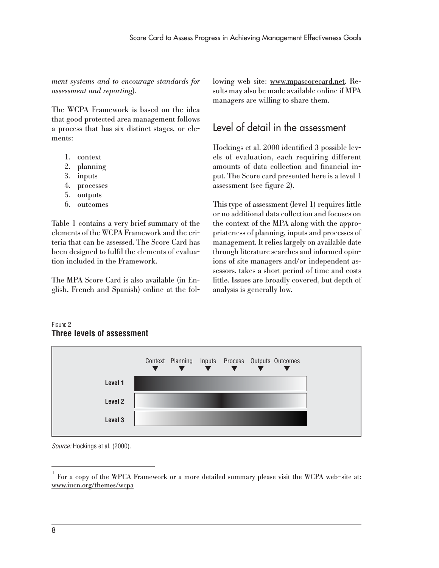*ment systems and to encourage standards for assessment and reporting*).

The WCPA Framework is based on the idea that good protected area management follows a process that has six distinct stages, or elements:

- 1. context
- 2. planning
- 3. inputs
- 4. processes
- 5. outputs
- 6. outcomes

Table 1 contains a very brief summary of the elements of the WCPA Framework and the criteria that can be assessed. The Score Card has been designed to fulfil the elements of evaluation included in the Framework.

The MPA Score Card is also available (in English, French and Spanish) online at the following web site: www.mpascorecard.net. Results may also be made available online if MPA managers are willing to share them.

### Level of detail in the assessment

Hockings et al. 2000 identified 3 possible levels of evaluation, each requiring different amounts of data collection and financial input. The Score card presented here is a level 1 assessment (see figure 2).

This type of assessment (level 1) requires little or no additional data collection and focuses on the context of the MPA along with the appropriateness of planning, inputs and processes of management. It relies largely on available date through literature searches and informed opinions of site managers and/or independent assessors, takes a short period of time and costs little. Issues are broadly covered, but depth of analysis is generally low.

#### FIGURE 2 **Three levels of assessment**



Source: Hockings et al. (2000).

<sup>1</sup> For a copy of the WPCA Framework or a more detailed summary please visit the WCPA web–site at: www.iucn.org/themes/wcpa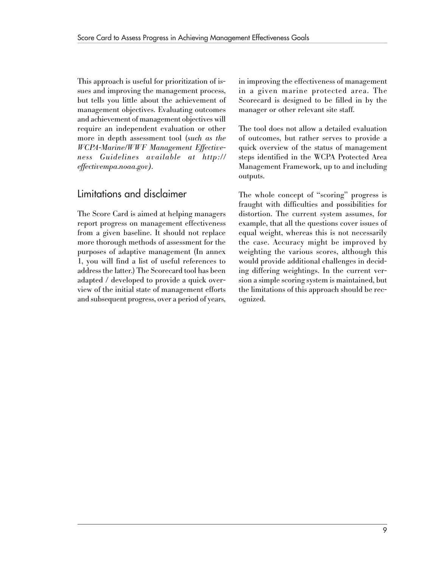This approach is useful for prioritization of issues and improving the management process, but tells you little about the achievement of management objectives. Evaluating outcomes and achievement of management objectives will require an independent evaluation or other more in depth assessment tool (*such as the WCPA-Marine/WWF Management Effectiveness Guidelines available at http:// effectivempa.noaa.gov).*

### Limitations and disclaimer

The Score Card is aimed at helping managers report progress on management effectiveness from a given baseline. It should not replace more thorough methods of assessment for the purposes of adaptive management (In annex 1, you will find a list of useful references to address the latter.) The Scorecard tool has been adapted / developed to provide a quick overview of the initial state of management efforts and subsequent progress, over a period of years, in improving the effectiveness of management in a given marine protected area. The Scorecard is designed to be filled in by the manager or other relevant site staff.

The tool does not allow a detailed evaluation of outcomes, but rather serves to provide a quick overview of the status of management steps identified in the WCPA Protected Area Management Framework, up to and including outputs.

The whole concept of "scoring" progress is fraught with difficulties and possibilities for distortion. The current system assumes, for example, that all the questions cover issues of equal weight, whereas this is not necessarily the case. Accuracy might be improved by weighting the various scores, although this would provide additional challenges in deciding differing weightings. In the current version a simple scoring system is maintained, but the limitations of this approach should be recognized.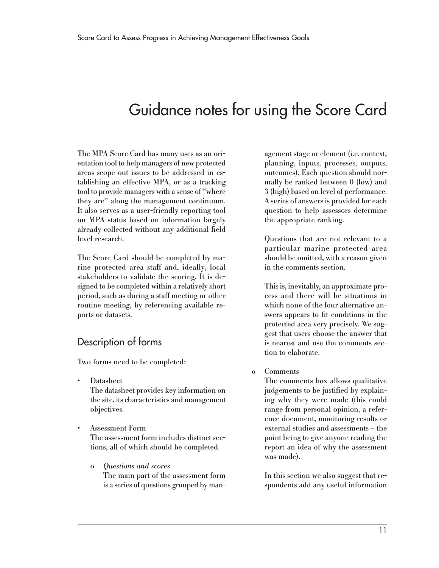## Guidance notes for using the Score Card

The MPA Score Card has many uses as an orientation tool to help managers of new protected areas scope out issues to be addressed in establishing an effective MPA, or as a tracking tool to provide managers with a sense of "where they are" along the management continuum. It also serves as a user-friendly reporting tool on MPA status based on information largely already collected without any additional field level research.

The Score Card should be completed by marine protected area staff and, ideally, local stakeholders to validate the scoring. It is designed to be completed within a relatively short period, such as during a staff meeting or other routine meeting, by referencing available reports or datasets.

### Description of forms

Two forms need to be completed:

• Datasheet

The datasheet provides key information on the site, its characteristics and management objectives.

- Assessment Form The assessment form includes distinct sections, all of which should be completed.
	- o *Questions and scores* The main part of the assessment form is a series of questions grouped by man-

agement stage or element (i.e. context, planning, inputs, processes, outputs, outcomes). Each question should normally be ranked between 0 (low) and 3 (high) based on level of performance. A series of answers is provided for each question to help assessors determine the appropriate ranking.

Questions that are not relevant to a particular marine protected area should be omitted, with a reason given in the comments section.

This is, inevitably, an approximate process and there will be situations in which none of the four alternative answers appears to fit conditions in the protected area very precisely. We suggest that users choose the answer that is nearest and use the comments section to elaborate.

#### o Comments

The comments box allows qualitative judgements to be justified by explaining why they were made (this could range from personal opinion, a reference document, monitoring results or external studies and assessments – the point being to give anyone reading the report an idea of why the assessment was made).

In this section we also suggest that respondents add any useful information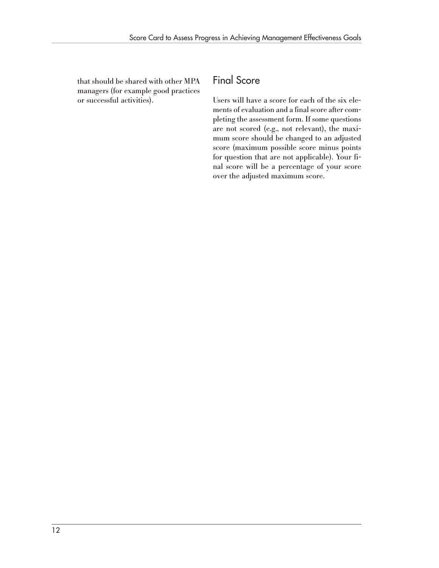that should be shared with other MPA managers (for example good practices or successful activities).

#### Final Score

Users will have a score for each of the six elements of evaluation and a final score after completing the assessment form. If some questions are not scored (e.g., not relevant), the maximum score should be changed to an adjusted score (maximum possible score minus points for question that are not applicable). Your final score will be a percentage of your score over the adjusted maximum score.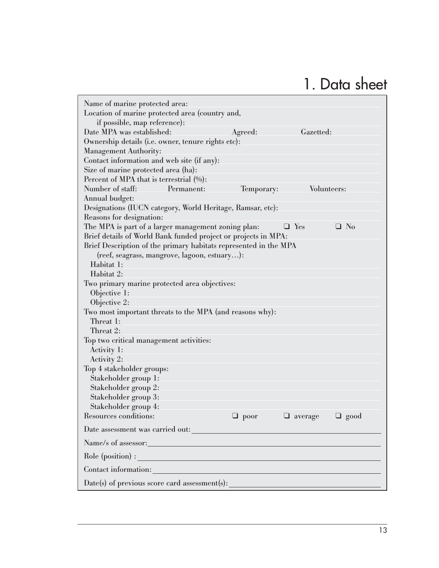# 1. Data sheet

| Name of marine protected area:                                                                                 |             |                |             |
|----------------------------------------------------------------------------------------------------------------|-------------|----------------|-------------|
| Location of marine protected area (country and,                                                                |             |                |             |
| if possible, map reference):                                                                                   |             |                |             |
| Date MPA was established:                                                                                      | Agreed:     | Gazetted:      |             |
| Ownership details (i.e. owner, tenure rights etc):                                                             |             |                |             |
| <b>Management Authority:</b>                                                                                   |             |                |             |
| Contact information and web site (if any):                                                                     |             |                |             |
| Size of marine protected area (ha):                                                                            |             |                |             |
| Percent of MPA that is terrestrial $(0/6)$ :                                                                   |             |                |             |
| Number of staff:<br>Permanent:                                                                                 | Temporary:  | Volunteers:    |             |
| Annual budget:                                                                                                 |             |                |             |
| Designations (IUCN category, World Heritage, Ramsar, etc):                                                     |             |                |             |
| Reasons for designation:                                                                                       |             |                |             |
| The MPA is part of a larger management zoning plan:                                                            |             | $\Box$ Yes     | $\Box$ No   |
| Brief details of World Bank funded project or projects in MPA:                                                 |             |                |             |
| Brief Description of the primary habitats represented in the MPA                                               |             |                |             |
| (reef, seagrass, mangrove, lagoon, estuary):                                                                   |             |                |             |
| Habitat 1:                                                                                                     |             |                |             |
| Habitat 2:                                                                                                     |             |                |             |
| Two primary marine protected area objectives:                                                                  |             |                |             |
| Objective 1:                                                                                                   |             |                |             |
| Objective 2:                                                                                                   |             |                |             |
| Two most important threats to the MPA (and reasons why):                                                       |             |                |             |
| Threat 1:                                                                                                      |             |                |             |
| Threat 2:                                                                                                      |             |                |             |
| Top two critical management activities:                                                                        |             |                |             |
| Activity 1:                                                                                                    |             |                |             |
| Activity 2:                                                                                                    |             |                |             |
| Top 4 stakeholder groups:                                                                                      |             |                |             |
| Stakeholder group 1:                                                                                           |             |                |             |
| Stakeholder group 2:                                                                                           |             |                |             |
| Stakeholder group 3:                                                                                           |             |                |             |
| Stakeholder group 4:                                                                                           |             |                |             |
| Resources conditions:                                                                                          | $\Box$ poor | $\Box$ average | $\Box$ good |
| Date assessment was carried out:                                                                               |             |                |             |
| Name/s of assessor: Name/s of assessor:                                                                        |             |                |             |
| Role (position) :                                                                                              |             |                |             |
| Contact information: Note that the contract of the contract of the contract of the contract of the contract of |             |                |             |
|                                                                                                                |             |                |             |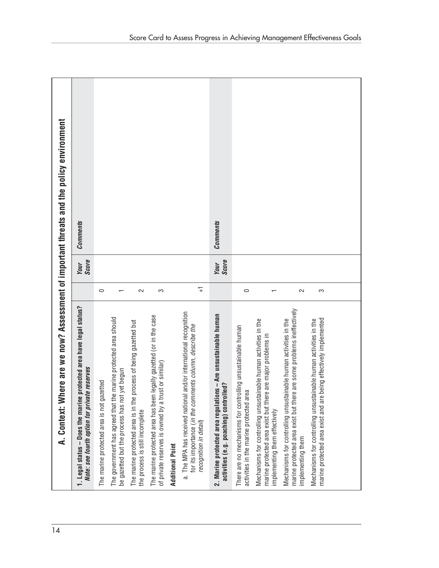| 14 | A. Context: W                                                                                                                                                    |                |                      | here are we now? Assessment of important threats and the policy environment |
|----|------------------------------------------------------------------------------------------------------------------------------------------------------------------|----------------|----------------------|-----------------------------------------------------------------------------|
|    | 1. Legal status - Does the marine protected area have legal status?<br>Note: see fourth option for private reserves                                              |                | <b>Score</b><br>Your | <b>Comments</b>                                                             |
|    | The marine protected area is not gazetted                                                                                                                        | $\circ$        |                      |                                                                             |
|    | The government has agreed that the marine protected area should<br>be gazetted but the process has not yet begun                                                 |                |                      |                                                                             |
|    | The marine protected area is in the process of being gazetted but<br>the process is still incomplete                                                             | 2              |                      |                                                                             |
|    | The marine protected area has been legally gazetted (or in the case<br>of private reserves is owned by a trust or similar)                                       | က              |                      |                                                                             |
|    | <b>Additional Point</b>                                                                                                                                          |                |                      |                                                                             |
|    | a. The MPA has received national and/or international recognition<br>for its importance (in the comments column, describe the<br>recognition in detail)          | $\overline{+}$ |                      |                                                                             |
|    | ions - Are unsustainable human<br>activities (e.g. poaching) controlled?<br>2. Marine protected area regulati                                                    |                | Score<br>Your        | <b>Comments</b>                                                             |
|    | There are no mechanisms for controlling unsustainable human<br>activities in the marine protected area                                                           | $\circ$        |                      |                                                                             |
|    | Mechanisms for controlling unsustainable human activities in the<br>marine protected area exist but there are major problems in<br>implementing them effectively |                |                      |                                                                             |
|    | marine protected area exist but there are some problems ineffectively<br>Mechanisms for controlling unsustainable human activities in the<br>implementing them   | $\sim$         |                      |                                                                             |
|    | e being effectively implemented<br>Mechanisms for controlling unsustainable human activities in the<br>marine protected area exist and ar                        | S              |                      |                                                                             |
|    |                                                                                                                                                                  |                |                      |                                                                             |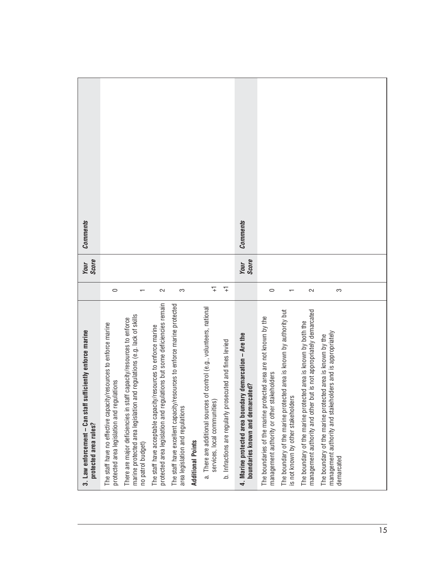| 3. Law enforcement - Can staff sufficiently enforce marine<br>protected area rules?                                                                                |                | Score<br>Your        | Comments        |
|--------------------------------------------------------------------------------------------------------------------------------------------------------------------|----------------|----------------------|-----------------|
| The staff have no effective capacity/resources to enforce marine<br>protected area legislation and regulations                                                     | $\circ$        |                      |                 |
| marine protected area legislation and regulations (e.g. lack of skills<br>There are major deficiencies in staff capacity/resources to enforce<br>no patrol budget) |                |                      |                 |
| lations but some deficiencies remain<br>The staff have acceptable capacity/resources to enforce marine<br>protected area legislation and regu                      | $\sim$         |                      |                 |
| The staff have excellent capacity/resources to enforce marine protected<br>area legislation and regulations                                                        | S              |                      |                 |
| <b>Additional Points</b>                                                                                                                                           |                |                      |                 |
| of control (e.g., volunteers, national<br>a. There are additional sources<br>services, local communities)                                                          | $\overline{+}$ |                      |                 |
| b. Infractions are regularly prosecuted and fines levied                                                                                                           | $\mp$          |                      |                 |
| 4. Marine protected area boundary demarcation - Are the<br>boundaries known and demarcated?                                                                        |                | <b>Score</b><br>Your | <b>Comments</b> |
| The boundaries of the marine protected area are not known by the<br>management authority or other stakeholders                                                     | $\circ$        |                      |                 |
| The boundary of the marine protected area is known by authority but<br>is not known by other stakeholders                                                          |                |                      |                 |
| management authority and other but is not appropriately demarcated<br>The boundary of the marine protected area is known by both the                               | 2              |                      |                 |
| olders and is appropriately<br>The boundary of the marine protected area is known by the<br>management authority and stakeh<br>demarcated                          | S              |                      |                 |
|                                                                                                                                                                    |                |                      |                 |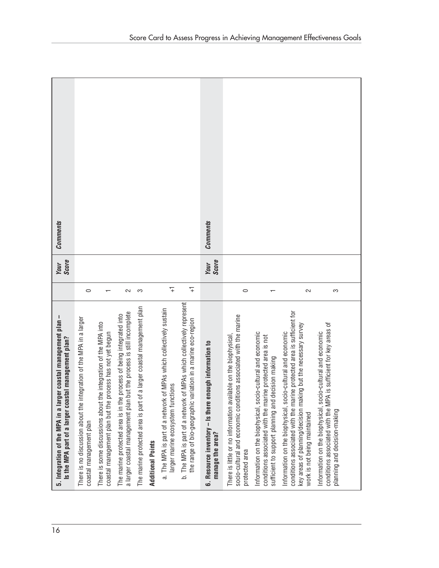**Comments Your Comments Comments Your Comments Your**<br>Score **Your**<br>Score  **Is the MPA part of a larger coastal management plan? Score manage the area? Score**  $\overline{+}$  $\overline{+}$  $\circ$  $\leftarrow$  $\sim$ က larger marine ecosystem functions  $\begin{array}{|c|c|c|}\hline & +1\end{array}$ the range of bio-geographic variation in a marine eco-region  $\quad$  +1  $\quad$  $\circ$  $\overline{ }$  $\sim$ က coastal management plan 0 a larger coastal management plan but the process is still incomplete  $\quad \parallel \quad 2$ The marine protected area is part of a larger coastal management plan  $\quad$  3 protected area  $0$ work is not being maintained  $2$ planning and decision-making  $3$ coastal management plan but the process has not yet begun  $\,$  1  $\,$ sufficient to support planning and decision making  $\parallel$  1 b. The MPA is part of a network of MPAs which collectively represent b. The MPA is part of a network of MPAs which collectively represent The marine protected area is part of a larger coastal management plan a. The MPA is part of a network of MPAs which collectively sustain a. The MPA is part of a network of MPAs which collectively sustain a larger coastal management plan but the process is still incomplete conditions associated with the marine protected area is sufficient for conditions associated with the marine protected area is sufficient for The marine protected area is in the process of being integrated into socio-cultural and economic conditions associated with the marine 5. Integration of the MPA in a larger coastal management plan-The marine protected area is in the process of being integrated into socio-cultural and economic conditions associated with the marine 16 **5. Integration of the MPA in a larger coastal management plan –** There is no discussion about the integration of the MPA in a larger There is no discussion about the integration of the MPA in a larger the range of bio-geographic variation in a marine eco-region There is some discussions about the integration of the MPA into conditions associated with the MPA is sufficient for key areas of<br>planning and decision-making There is some discussions about the integration of the MPA into key areas of planning/decision making but the necessary survey key areas of planning/decision making but the necessary survey conditions associated with the MPA is sufficient for key areas of Information on the biophysical, socio-cultural and economic Information on the biophysical, socio-cultural and economic coastal management plan but the process has not yet begun Information on the biophysical, socio-cultural and economic Information on the biophysical, socio-cultural and economic Information on the biophysical, socio-cultural and economic Information on the biophysical, socio-cultural and economic There is little or no information available on the biophysical, There is little or no information available on the biophysical, conditions associated with the marine protected area is not Is the MPA part of a larger coastal management plan? conditions associated with the marine protected area is not 6. Resource inventory - Is there enough information to **6. Resource inventory – Is there enough information to** sufficient to support planning and decision making larger marine ecosystem functions work is not being maintained coastal management plan manage the area? **Additional Points Additional Points** protected area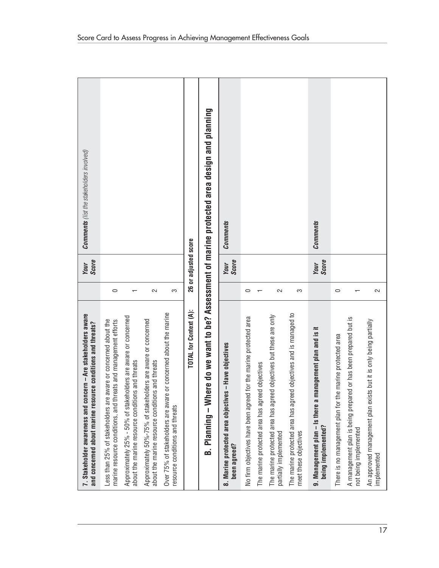| 7. Stakeholder awareness and concern - Are stakeholders aware<br>and concerned about marine resource conditions and threats?         |         | Score<br>Your        | <b>Comments</b> (list the stakeholders involved)                               |
|--------------------------------------------------------------------------------------------------------------------------------------|---------|----------------------|--------------------------------------------------------------------------------|
| e aware or concerned about the<br>marine resource conditions, and threats and management efforts<br>Less than 25% of stakeholders an | $\circ$ |                      |                                                                                |
| Approximately 25% - 50% of stakeholders are aware or concerned<br>about the marine resource conditions and threats                   |         |                      |                                                                                |
| Approximately 50%-75% of stakeholders are aware or concerned<br>about the marine resource conditions and threats                     | 2       |                      |                                                                                |
| Over 75% of stakeholders are aware or concerned about the marine<br>resource conditions and threats                                  | S       |                      |                                                                                |
| TOTAL for Context (A):                                                                                                               |         | 26 or adjusted score |                                                                                |
| Planning – W<br>ക്                                                                                                                   |         |                      | here do we want to be? Assessment of marine protected area design and planning |
| 8. Marine protected area objectives – Have objectives<br>been agreed?                                                                |         | Score<br>Your        | <b>Comments</b>                                                                |
| No firm objectives have been agreed for the marine protected area                                                                    | $\circ$ |                      |                                                                                |
| reed objectives<br>The marine protected area has ago                                                                                 |         |                      |                                                                                |
| reed objectives but these are only<br>The marine protected area has ago<br>partially implemented                                     | $\sim$  |                      |                                                                                |
| reed objectives and is managed to<br>The marine protected area has ago<br>meet these objectives                                      | က       |                      |                                                                                |
| management plan and is it<br>9. Management plan - Is there a<br>being implemented?                                                   |         | <b>Score</b><br>Your | <b>Comments</b>                                                                |
| the marine protected area<br>There is no management plan for                                                                         | $\circ$ |                      |                                                                                |
| A management plan is being prepared or has been prepared but is<br>not being implemented                                             |         |                      |                                                                                |
| ists but it is only being partially<br>An approved management plan ex<br>implemented                                                 | 2       |                      |                                                                                |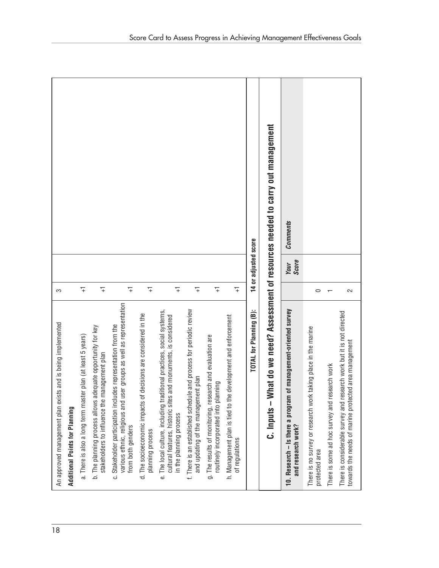|                                                                                                                                                                                                                                                                                     |                                                                                                                                                                                                                                                      |                                                                                                                                                                                                                                            |                                                                                                                                          |                                                                                 | What do we need? Assessment of resources needed to carry out management<br>14 or adjusted score | <b>Comments</b><br><b>Score</b><br>Your                                               |                                                                                  |                                                                                                                                                                                 |
|-------------------------------------------------------------------------------------------------------------------------------------------------------------------------------------------------------------------------------------------------------------------------------------|------------------------------------------------------------------------------------------------------------------------------------------------------------------------------------------------------------------------------------------------------|--------------------------------------------------------------------------------------------------------------------------------------------------------------------------------------------------------------------------------------------|------------------------------------------------------------------------------------------------------------------------------------------|---------------------------------------------------------------------------------|-------------------------------------------------------------------------------------------------|---------------------------------------------------------------------------------------|----------------------------------------------------------------------------------|---------------------------------------------------------------------------------------------------------------------------------------------------------------------------------|
| $\overline{+}$<br>$\overline{+}$<br>S                                                                                                                                                                                                                                               | $\overline{+}$<br>7                                                                                                                                                                                                                                  | $\overline{+}$                                                                                                                                                                                                                             | $\overline{+}$<br>7                                                                                                                      | $\overline{+}$                                                                  |                                                                                                 |                                                                                       | $\circ$                                                                          | $\sim$                                                                                                                                                                          |
| An approved management plan exists and is being implemented<br>b. The planning process allows adequate opportunity for key<br>a. There is also a long term master plan (at least 5 years)<br>stakeholders to influence the management plan<br><b>Additional Points for Planning</b> | various ethnic, religious and user groups as well as representation<br>d. The socioeconomic impacts of decisions are considered in the<br>udes representation from the<br>c. Stakeholder participation incl<br>from both genders<br>planning process | f. There is an established schedule and process for periodic review<br>e. The local culture, including traditional practices, social systems,<br>cultural features, historic sites and monuments, is considered<br>in the planning process | g. The results of monitoring, research and evaluation are<br>and updating of the management plan<br>routinely incorporated into planning | h. Management plan is tied to the development and enforcement<br>of regulations | TOTAL for Planning (B):<br>$C.$ Inputs $-$                                                      | 10. Research – Is there a program of management-oriented survey<br>and research work? | There is no survey or research work taking place in the marine<br>protected area | There is considerable survey and research work but it is not directed<br>towards the needs of marine protected area management<br>There is some ad hoc survey and research work |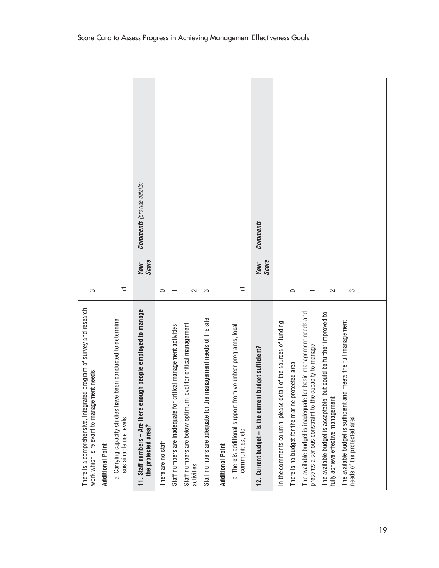| There is a comprehensive, integrated program of survey and research<br>work which is relevant to management needs            | က              |                      |                            |
|------------------------------------------------------------------------------------------------------------------------------|----------------|----------------------|----------------------------|
| Additional Point                                                                                                             |                |                      |                            |
| a. Carrying capacity studies have been conducted to determine<br>sustainable use levels                                      | $\overline{+}$ |                      |                            |
| 11. Staff numbers - Are there enough people employed to manage<br>the protected area?                                        |                | <b>Score</b><br>Your | Comments (provide details) |
| There are no staff                                                                                                           | $\circ$        |                      |                            |
| critical management activities<br>Staff numbers are inadequate for                                                           |                |                      |                            |
| Staff numbers are below optimum level for critical management<br>activities                                                  | 2              |                      |                            |
| Staff numbers are adequate for the management needs of the site                                                              | က              |                      |                            |
| <b>Additional Point</b>                                                                                                      |                |                      |                            |
| a. There is additional support from volunteer programs, local<br>communities, etc                                            | $\overline{+}$ |                      |                            |
| 12. Current budget - Is the current budget sufficient?                                                                       |                | Score<br>Your        | <b>Comments</b>            |
| In the comments column: please detail of the sources of funding                                                              |                |                      |                            |
| There is no budget for the marine protected area                                                                             | $\circ$        |                      |                            |
| The available budget is inadequate for basic management needs and<br>presents a serious constraint to the capacity to manage |                |                      |                            |
| The available budget is acceptable, but could be further improved to<br>fully achieve effective management                   | $\sim$         |                      |                            |
| The available budget is sufficient and meets the full management                                                             |                |                      |                            |
| needs of the protected area                                                                                                  | S              |                      |                            |
|                                                                                                                              |                |                      |                            |
|                                                                                                                              |                |                      |                            |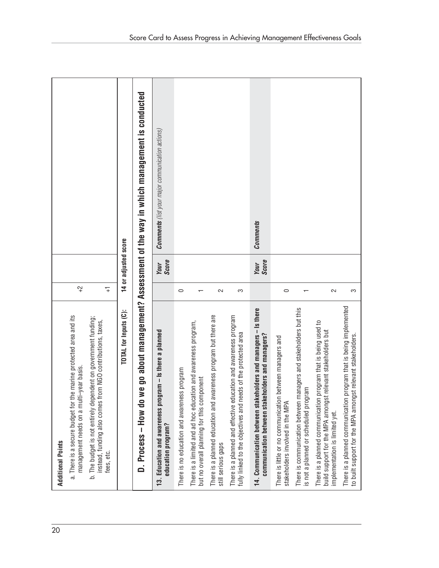| 20 | <b>Additional Points</b>                                                                                                                                           |                |                             |                                                                             |
|----|--------------------------------------------------------------------------------------------------------------------------------------------------------------------|----------------|-----------------------------|-----------------------------------------------------------------------------|
|    | a. There is a secure budget for the marine protected area and its<br>i-year basis.<br>management needs on a mult                                                   | $\vec{r}$      |                             |                                                                             |
|    | b. The budget is not entirely dependent on government funding;<br>instead, funding also comes from NGO contributions, taxes,<br>fees, etc.                         | $\overline{+}$ |                             |                                                                             |
|    | TOTAL for Inputs (C):                                                                                                                                              |                | 14 or adjusted score        |                                                                             |
|    | ©<br><br>D. Process - How do                                                                                                                                       |                |                             | go about management? Assessment of the way in which management is conducted |
|    | 13. Education and awareness program - Is there a planned<br>education program?                                                                                     |                | <b>Score</b><br><b>Your</b> | <b>Comments</b> (list your major communication actions)                     |
|    | There is no education and awareness program                                                                                                                        | $\circ$        |                             |                                                                             |
|    | There is a limited and ad hoc education and awareness program,<br>but no overall planning for this component                                                       |                |                             |                                                                             |
|    | There is a planned education and awareness program but there are<br>still serious gaps                                                                             | $\sim$         |                             |                                                                             |
|    | There is a planned and effective education and awareness program<br>fully linked to the objectives and needs of the protected area                                 | က              |                             |                                                                             |
|    | 14. Communication between stakeholders and managers - Is there<br>communication between stakeholders and managers?                                                 |                | Score<br><b>Your</b>        | Comments                                                                    |
|    | between managers and<br>There is little or no communication<br>stakeholders involved in the MPA                                                                    | $\circ$        |                             |                                                                             |
|    | There is communication between managers and stakeholders but this<br>is not a planned or scheduled program                                                         |                |                             |                                                                             |
|    | program that is being used to<br>build support for the MPA amongst relevant stakeholders but<br>There is a planned communication<br>implementation is limited yet. | 2              |                             |                                                                             |
|    | program that is being implemented<br>to built support for the MPA amongst relevant stakeholders.<br>There is a planned communication                               | က              |                             |                                                                             |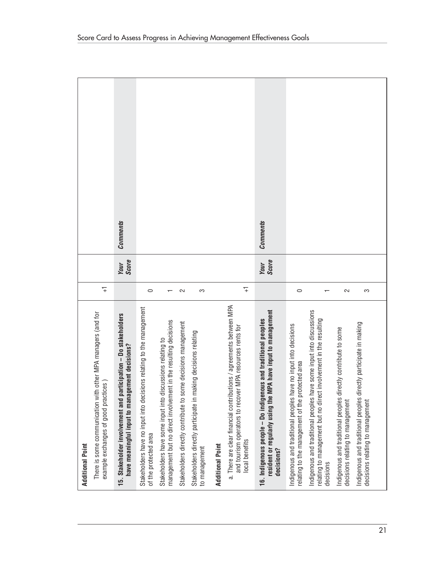| <b>Additional Point</b>                                                                                                                               |                |                      |                 |
|-------------------------------------------------------------------------------------------------------------------------------------------------------|----------------|----------------------|-----------------|
| with other MPA managers (and for<br>example exchanges of good practices)<br>There is some communication                                               | $\overline{+}$ |                      |                 |
| 15. Stakeholder involvement and participation - Do stakeholders<br>have meaningful input to management decisions?                                     |                | <b>Score</b><br>Your | <b>Comments</b> |
| Stakeholders have no input into decisions relating to the management<br>of the protected area                                                         | $\circ$        |                      |                 |
| management but no direct involvement in the resulting decisions<br>Stakeholders have some input into discussions relating to                          |                |                      |                 |
| Stakeholders directly contribute to some decisions management                                                                                         | $\sim$         |                      |                 |
| Stakeholders directly participate in making decisions relating<br>to management                                                                       | က              |                      |                 |
| <b>Additional Point</b>                                                                                                                               |                |                      |                 |
| a. There are clear financial contributions / agreements between MPA<br>and tourism operators to recover MPA resources rents for<br>local benefits     | $\overline{+}$ |                      |                 |
| resident or regularly using the MPA have input to management<br>16. Indigenous people – Do indigenous and traditional peoples<br>decisions?           |                | Score<br>Your        | <b>Comments</b> |
| Indigenous and traditional peoples have no input into decisions<br>relating to the management of the protected area                                   | $\circ$        |                      |                 |
| Indigenous and traditional peoples have some input into discussions<br>relating to management but no direct involvement in the resulting<br>decisions |                |                      |                 |
| Indigenous and traditional peoples directly contribute to some<br>decisions relating to management                                                    | 2              |                      |                 |
| Indigenous and traditional peoples directly participate in making<br>decisions relating to management                                                 | က              |                      |                 |
|                                                                                                                                                       |                |                      |                 |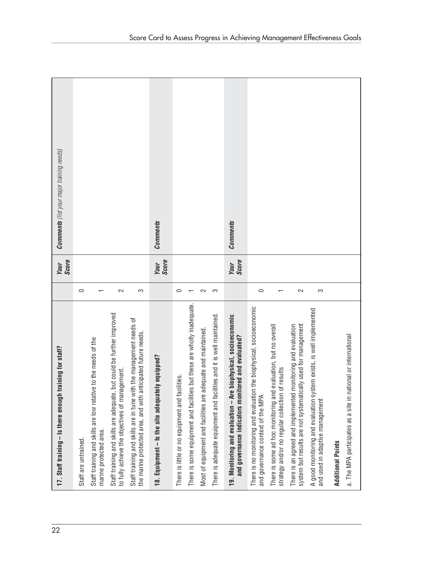**Your Comments** (list your major training needs) **Comments** (list your major training needs) **Comments Your Comments Comments Your Comments Score Score Your**<br>Score  **and governance indicators monitored and evaluated? Score**  $\circ$  $\overline{a}$  $\sim$ က  $\circ$  $\sim$ <u>က</u>  $\circ$  $\sim$ က Staff are untrained. 0 to fully achieve the objectives of management.  $\qquad \qquad \mid \quad 2$ the marine protected area, and with anticipated future needs.  $\qquad \qquad \mid \quad \text{3}$ There is little or no equipment and facilities. 0 Most of equipment and facilities are adequate and maintained.  $2$ There is adequate equipment and facilities and it is well maintained.  $\begin{array}{|c|} \hline \end{array}$  3 and governance context of the MPA  $\blacksquare$ system but results are not systematically used for management  $\qquad \qquad \mid \quad 2$ and used in adaptive management  $3$ marine protected area.  $\hskip1cm 1$ There is some equipment and facilities but these are wholly inadequate.  $|$  1 strategy and/or no regular collection of results 1 There is some equipment and facilities but these are wholly inadequate. There is no monitoring and evaluation the biophysical, socioeconomic<br>and governance context of the MPA There is no monitoring and evaluation the biophysical, socioeconomic A good monitoring and evaluation system exists, is well implemented A good monitoring and evaluation system exists, is well implemented Staff training and skills are adequate, but could be further improved<br>to fully achieve the objectives of management. 19. Monitoring and evaluation - Are biophysical, socioeconomic Staff training and skills are adequate, but could be further improved There is adequate equipment and facilities and it is well maintained. **19. Monitoring and evaluation – Are biophysical, socioeconomic** Staff training and skills are in tune with the management needs of<br>the marine protected area, and with anticipated future needs. Staff training and skills are in tune with the management needs of There is some ad hoc monitoring and evaluation, but no overall There is an agreed and implemented monitoring and evaluation system but results are not systematically used for management There is some ad hoc monitoring and evaluation, but no overall There is an agreed and implemented monitoring and evaluation Most of equipment and facilities are adequate and maintained. a. The MPA participates as a site in national or international and governance indicators monitored and evaluated? a. The MPA participates as a site in national or internationalStaff training and skills are low relative to the needs of the Staff training and skills are low relative to the needs of the 17. Staff training - Is there enough training for staff? 22 **17. Staff training – Is there enough training for staff?** 18. Equipment - Is the site adequately equipped? **18. Equipment – Is the site adequately equipped?** strategy and/or no regular collection of results There is little or no equipment and facilities. and used in adaptive management marine protected area. Staff are untrained. **Additional Points Additional Points**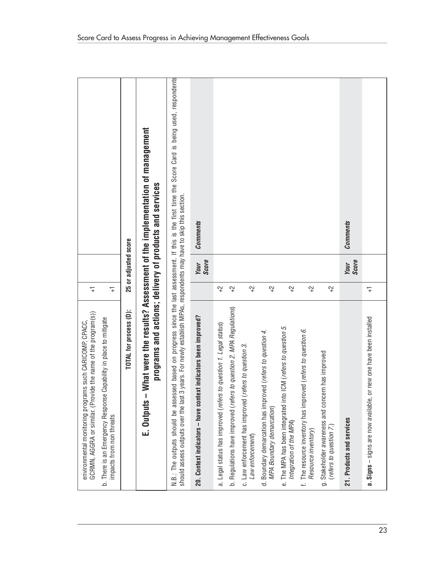| GCRMN, AGGRA or similar. (Provide the name of the program(s))<br>b. There is an Emergency Response Capability in place to mitigate<br>environmental monitoring programs such CARICOMP, CPACC,<br>impacts from non threats                                                  | $\overline{+}$<br>$\overline{+}$ |                             |                                                                         |
|----------------------------------------------------------------------------------------------------------------------------------------------------------------------------------------------------------------------------------------------------------------------------|----------------------------------|-----------------------------|-------------------------------------------------------------------------|
| TOTAL for process (D):                                                                                                                                                                                                                                                     |                                  | 25 or adjusted score        |                                                                         |
| programs and actions; delivery of products and services<br>E. Outputs -                                                                                                                                                                                                    |                                  |                             | - What were the results? Assessment of the implementation of management |
| N.B.: The outputs should be assessed based on progress since the last assessment. If this is the first time the Score Card is being used, respondents<br>should assess outputs over the last 3 years. For newly establish MPAs, respondents may have to skip this section. |                                  |                             |                                                                         |
| 20. Context indicators – have context indicators been improved?                                                                                                                                                                                                            |                                  | <b>Score</b><br>Your        | <b>Comments</b>                                                         |
| rs to question 1. Legal status)<br>a. Legal status has improved (refer                                                                                                                                                                                                     | $^{+2}$                          |                             |                                                                         |
| b. Regulations have improved (refers to question 2. MPA Regulations)                                                                                                                                                                                                       | $\widetilde{ }$                  |                             |                                                                         |
| (refers to question 3.<br>c. Law enforcement has improved<br>Law enforcement)                                                                                                                                                                                              | $\widetilde{c}^+$                |                             |                                                                         |
| d. Boundary demarcation has improved (refers to question 4.<br>MPA Boundary demarcation)                                                                                                                                                                                   | $\widetilde{ }$                  |                             |                                                                         |
| The MPA has been integrated into ICM (refers to question 5.<br>Integration of the MPA)<br>$\overline{e}$ .                                                                                                                                                                 | $\widetilde{ }$                  |                             |                                                                         |
| f. The resource inventory has improved (refers to question 6.<br>Resource inventory)                                                                                                                                                                                       | $\widetilde{ }$                  |                             |                                                                         |
| g. Stakeholder awareness and concern has improved<br>refers to question 7.)                                                                                                                                                                                                | $\ddot{ }$                       |                             |                                                                         |
| 21. Products and services                                                                                                                                                                                                                                                  |                                  | <b>Score</b><br><b>Your</b> | <b>Comments</b>                                                         |
| or new one have been installed<br>$\mathbf{a}$ . Signs – signs are now available,                                                                                                                                                                                          | $\overline{+}$                   |                             |                                                                         |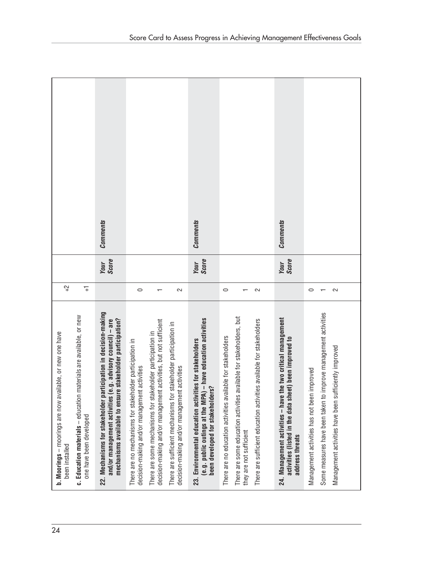**Comments Comments Comments Your Comments Your Comments Your Comments Your**<br>Score **Your**<br>Score **Your**<br>Score  **and/or management activities (e.g. advisory council) – are Score (e.g. public outings at the MPA) – have education activities Score activities (listed in the data sheet) been improved to Score**  $\widetilde{C}^+$  $\overline{+}$ been installed  $+2$  $\circ$ one have been developed  $+1$  $\circ$  $\leftarrow$  $\sim$  $\overline{\phantom{0}}$  $\sim$  $\circ$  $\overline{\phantom{m}}$  $\sim$ decision-making and/or management activities 0 decision-making and/or management activities  $\qquad \qquad \Box$ There are no education activities available for stakeholders  $0$ There are sufficient education activities available for stakeholders  $2$ Management activities has not been improved  $\qquad \qquad \Box$ Management activities have been sufficiently improved  $\qquad$  2 decision-making and/or management activities, but not sufficient 1 they are not sufficient  $1$ Some measures have been taken to improve management activities  $\quad \, \mid \, \, \,$  1 22. Mechanisms for stakeholder participation in decision-making **22. Mechanisms for stakeholder participation in decision-making** Some measures have been taken to improve management activities Education materials - education materials are available, or new **c. Education materials** – education materials are available, or new There are some education activities available for stakeholders, but There are some education activities available for stakeholders, but and/or management activities (e.g. advisory council) - are mechanisms available to ensure stakeholder participation? (e.g. public outings at the MPA) - have education activities 24. Management activities - have the two critical management  **mechanisms available to ensure stakeholder participation?** decision-making and/or management activities, but not sufficient There are sufficient education activities available for stakeholders **24. Management activities – have the two critical management** There are sufficient mechanisms for stakeholder participation in There are sufficient mechanisms for stakeholder participation in There are some mechanisms for stakeholder participation in **b. Moorings** - moorings are now available, or new one have 24 **b. Moorings** – moorings are now available, or new one have There are some mechanisms for stakeholder participation in There are no education activities available for stakeholders activities (listed in the data sheet) been improved to 23. Environmental education activities for stakeholders There are no mechanisms for stakeholder participation in **23. Environmental education activities for stakeholders** There are no mechanisms for stakeholder participation in Management activities have been sufficiently improved decision-making and/or management activities decision-making and/or management activities Management activities has not been improved been developed for stakeholders?  **been developed for stakeholders?** one have been developed they are not sufficient address threats  **address threats** been installed نى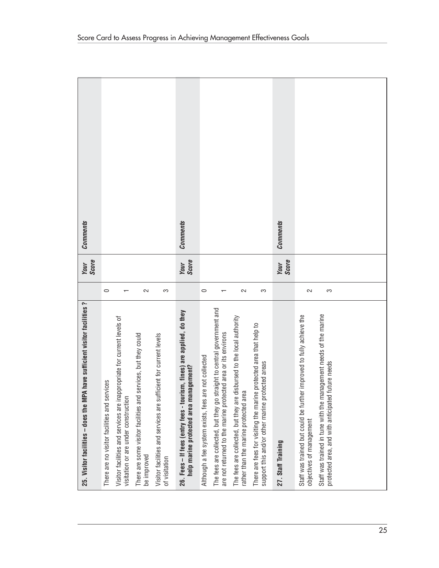| Comments                                                                  |                                                 |                                                                                                                 |                                                                               |                                                                                    | <b>Comments</b>                                                                                                 |                                                      |                                                                                                                                         |                                                                                                                |                                                                                                                        | <b>Comments</b>    |                                                                                                  |                                                                                                                        |  |  |
|---------------------------------------------------------------------------|-------------------------------------------------|-----------------------------------------------------------------------------------------------------------------|-------------------------------------------------------------------------------|------------------------------------------------------------------------------------|-----------------------------------------------------------------------------------------------------------------|------------------------------------------------------|-----------------------------------------------------------------------------------------------------------------------------------------|----------------------------------------------------------------------------------------------------------------|------------------------------------------------------------------------------------------------------------------------|--------------------|--------------------------------------------------------------------------------------------------|------------------------------------------------------------------------------------------------------------------------|--|--|
| <b>Score</b><br>Your                                                      |                                                 |                                                                                                                 |                                                                               |                                                                                    | Score<br>Your                                                                                                   |                                                      |                                                                                                                                         |                                                                                                                |                                                                                                                        | Score<br>Your      |                                                                                                  |                                                                                                                        |  |  |
|                                                                           | $\circ$                                         |                                                                                                                 | $\sim$                                                                        | S                                                                                  |                                                                                                                 | $\circ$                                              |                                                                                                                                         | $\sim$                                                                                                         | က                                                                                                                      |                    | $\sim$                                                                                           | က                                                                                                                      |  |  |
| 25. Visitor facilities - does the MPA have sufficient visitor facilities? | services<br>There are no visitor facilities and | Visitor facilities and services are inappropriate for current levels of<br>visitation or are under construction | There are some visitor facilities and services, but they could<br>be improved | Visitor facilities and services are sufficient for current levels<br>of visitation | 26. Fees – If fees (entry fees - tourism, fines) are applied, do they<br>help marine protected area management? | Although a fee system exists, fees are not collected | The fees are collected, but they go straight to central government and<br>are not returned to the marine protected area or its environs | The fees are collected, but they are disbursed to the local authority<br>rather than the marine protected area | There are fees for visiting the marine protected area that help to<br>support this and/or other marine protected areas | 27. Staff Training | Staff was trained but could be further improved to fully achieve the<br>objectives of management | Staff was trained in tune with the management needs of the marine<br>protected area, and with anticipated future needs |  |  |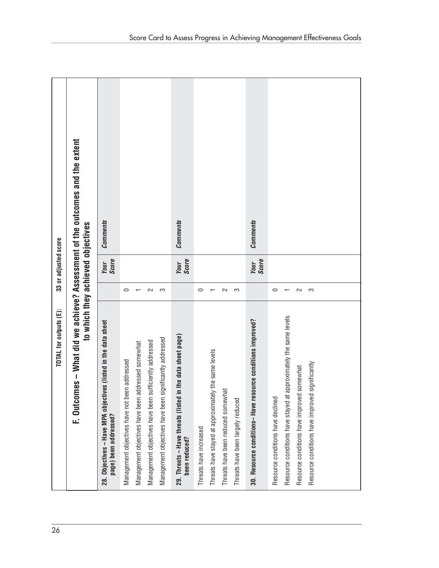| 26 | TOTAL for outputs (E):                                                                                            |         | 33 or adjusted score |                 |
|----|-------------------------------------------------------------------------------------------------------------------|---------|----------------------|-----------------|
|    | F. Outcomes - What did we achieve? Assessment of the outcomes and the extent<br>to which they achieved objectives |         |                      |                 |
|    | 28. Objectives - Have MPA objectives (listed in the data sheet<br>page) been addressed?                           |         | Score<br>Your        | <b>Comments</b> |
|    | Management objectives have not been addressed                                                                     | $\circ$ |                      |                 |
|    | addressed somewhat<br>Management objectives have been                                                             |         |                      |                 |
|    | sufficiently addressed<br>Management objectives have been                                                         | $\sim$  |                      |                 |
|    | significantly addressed<br>Management objectives have been                                                        | က       |                      |                 |
|    | 29. Threats - Have threats (listed in the data sheet page)<br>been reduced?                                       |         | Score<br>Your        | <b>Comments</b> |
|    | Threats have increased                                                                                            | 0       |                      |                 |
|    | Threats have stayed at approximately the same levels                                                              |         |                      |                 |
|    | Threats have been reduced somewhat                                                                                | 2       |                      |                 |
|    | Threats have been largely reduced                                                                                 | က       |                      |                 |
|    | 30. Resource conditions-Have resource conditions improved?                                                        |         | Score<br>Your        | <b>Comments</b> |
|    | Resource conditions have declined                                                                                 | $\circ$ |                      |                 |
|    | Resource conditions have stayed at approximately the same levels                                                  |         |                      |                 |
|    | Resource conditions have improved somewhat                                                                        | $\sim$  |                      |                 |
|    | Resource conditions have improved significantly                                                                   | S       |                      |                 |
|    |                                                                                                                   |         |                      |                 |
|    |                                                                                                                   |         |                      |                 |
|    |                                                                                                                   |         |                      |                 |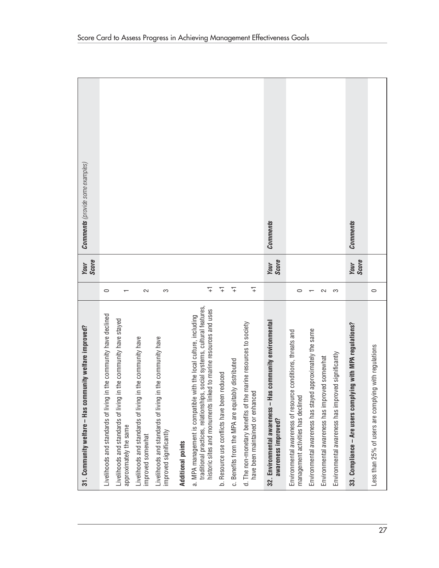| mmunity welfare improved?<br>31. Community welfare - Has co                                                                                                                                                       |                | Score<br>Your | <b>Comments</b> (provide some examples) |
|-------------------------------------------------------------------------------------------------------------------------------------------------------------------------------------------------------------------|----------------|---------------|-----------------------------------------|
| Livelihoods and standards of living in the community have declined                                                                                                                                                | $\circ$        |               |                                         |
| Livelihoods and standards of living in the community have stayed<br>approximately the same                                                                                                                        |                |               |                                         |
| Livelihoods and standards of living in the community have<br>improved somewhat                                                                                                                                    | $\sim$         |               |                                         |
| Livelihoods and standards of living in the community have<br>improved significantly                                                                                                                               | S              |               |                                         |
| <b>Additional points</b>                                                                                                                                                                                          |                |               |                                         |
| traditional practices, relationships, social systems, cultural features,<br>historic sites and monuments linked to marine resources and uses<br>a. MPA management is compatible with the local culture, including | 7              |               |                                         |
| b. Resource use conflicts have been reduced                                                                                                                                                                       | $\overline{+}$ |               |                                         |
| c. Benefits from the MPA are equitably distributed                                                                                                                                                                | $\overline{+}$ |               |                                         |
| d. The non-monetary benefits of the marine resources to society<br>have been maintained or enhanced                                                                                                               | $\overline{+}$ |               |                                         |
| <b>Has community environmental</b><br>32. Environmental awareness -<br>awareness improved?                                                                                                                        |                | Score<br>Your | <b>Comments</b>                         |
| Environmental awareness of resource conditions, threats and<br>management activities has declined                                                                                                                 | $\circ$        |               |                                         |
| Environmental awareness has stayed approximately the same                                                                                                                                                         |                |               |                                         |
| Environmental awareness has improved somewhat                                                                                                                                                                     | $\sim$         |               |                                         |
| Environmental awareness has improved significantly                                                                                                                                                                | က              |               |                                         |
| plying with MPA regulations?<br>33. Compliance - Are users com                                                                                                                                                    |                | Score<br>Your | <b>Comments</b>                         |
| Less than 25% of users are complying with regulations                                                                                                                                                             | $\circ$        |               |                                         |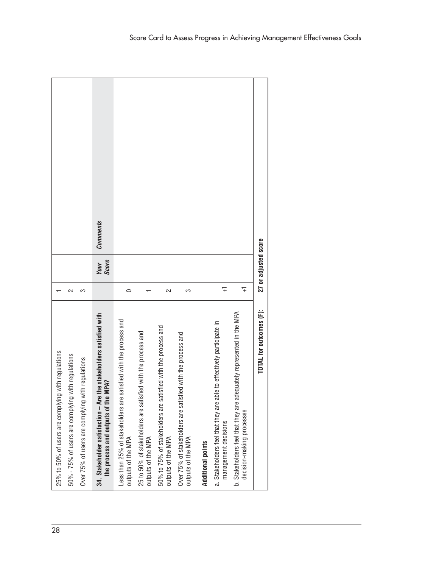| 28 | 25% to 50% of users are complying with regulations                                                        |                |                      |                 |
|----|-----------------------------------------------------------------------------------------------------------|----------------|----------------------|-----------------|
|    | 50% - 75% of users are complying with regulations                                                         | 2              |                      |                 |
|    | Over 75% of users are complying with regulations                                                          | က              |                      |                 |
|    | 34. Stakeholder satisfaction - Are the stakeholders satisfied with<br>the process and outputs of the MPA? |                | <b>Your</b><br>Score | <b>Comments</b> |
|    | Less than 25% of stakeholders are satisfied with the process and<br>outputs of the MPA                    | $\circ$        |                      |                 |
|    | 25 to 50% of stakeholders are satisfied with the process and<br>outputs of the MPA                        |                |                      |                 |
|    | 50% to 75% of stakeholders are satisfied with the process and<br>outputs of the MPA                       | 2              |                      |                 |
|    | Over 75% of stakeholders are satisfied with the process and<br>outputs of the MPA                         | က              |                      |                 |
|    | <b>Additional points</b>                                                                                  |                |                      |                 |
|    | able to effectively participate in<br>a. Stakeholders feel that they are a<br>management decisions        | $\overline{+}$ |                      |                 |
|    | b. Stakeholders feel that they are adequately represented in the MPA<br>decision-making processes         | $\overline{+}$ |                      |                 |
|    | TOTAL for outcomes (F):                                                                                   |                | 27 or adjusted score |                 |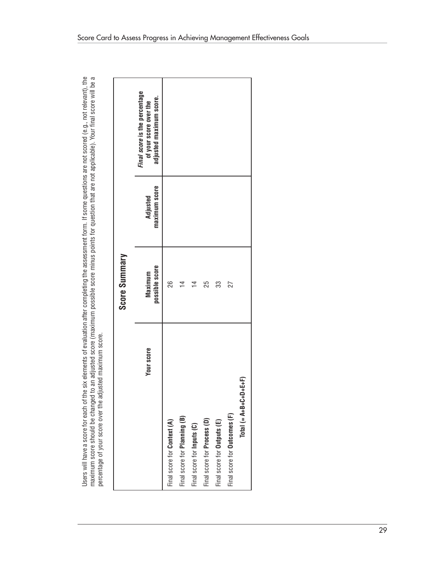Users will have a score for each of the six elements of evaluation after completing the assessment form. If some questions are not scored (e.g., not relevant), the<br>maximum score should be changed to an adjusted score (maxi

|                                        | Score Summary             |                           |                                                                                    |
|----------------------------------------|---------------------------|---------------------------|------------------------------------------------------------------------------------|
| Your score                             | possible score<br>Maximum | maximum score<br>Adjusted | Final score is the percentage<br>adjusted maximum score.<br>of your score over the |
| Final score for Context (A)            | 26                        |                           |                                                                                    |
| Final score for Planning (B)           | $\overline{4}$            |                           |                                                                                    |
| Final score for Inputs (C)             | ₫                         |                           |                                                                                    |
| Final score for Process (D)            | 25                        |                           |                                                                                    |
| Final score for Outputs (E)            | က္တ                       |                           |                                                                                    |
| Final score for <b>Outcomes</b> (F)    | 27                        |                           |                                                                                    |
| $\frac{1}{2}$<br>$Total (= A+B+C+D+E)$ |                           |                           |                                                                                    |